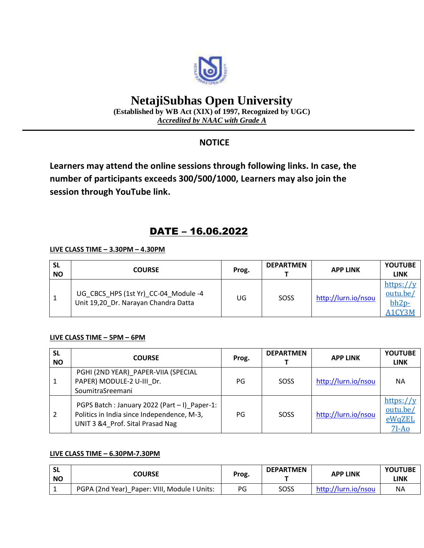

# **NetajiSubhas Open University**

**(Established by WB Act (XIX) of 1997, Recognized by UGC)** *Accredited by NAAC with Grade A*

### **NOTICE**

**Learners may attend the online sessions through following links. In case, the number of participants exceeds 300/500/1000, Learners may also join the session through YouTube link.**

## DATE – 16.06.2022

#### **LIVE CLASS TIME – 3.30PM – 4.30PM**

| <b>SL</b><br><b>NO</b> | <b>COURSE</b>                                                                | Prog. | <b>DEPARTMEN</b> | <b>APP LINK</b>     | <b>YOUTUBE</b><br><b>LINK</b>              |
|------------------------|------------------------------------------------------------------------------|-------|------------------|---------------------|--------------------------------------------|
|                        | UG CBCS HPS (1st Yr) CC-04 Module -4<br>Unit 19,20 Dr. Narayan Chandra Datta | UG    | SOSS             | http://lurn.io/nsou | https://v<br>outu.be/<br>$bh2p-$<br>A1CY3M |

#### **LIVE CLASS TIME – 5PM – 6PM**

| <b>SL</b><br><b>NO</b> | <b>COURSE</b>                                                                                                                  | Prog. | <b>DEPARTMEN</b> | <b>APP LINK</b>     | <b>YOUTUBE</b><br><b>LINK</b>              |
|------------------------|--------------------------------------------------------------------------------------------------------------------------------|-------|------------------|---------------------|--------------------------------------------|
| $\mathbf{1}$           | PGHI (2ND YEAR) PAPER-VIIA (SPECIAL<br>PAPER) MODULE-2 U-III Dr.<br>SoumitraSreemani                                           | PG    | SOSS             | http://lurn.io/nsou | <b>NA</b>                                  |
| 2                      | PGPS Batch: January 2022 (Part - I) Paper-1:<br>Politics in India since Independence, M-3,<br>UNIT 3 &4 Prof. Sital Prasad Nag | PG    | SOSS             | http://lurn.io/nsou | https://y<br>outu.be/<br>eWqZEL<br>$7I-Ao$ |

#### **LIVE CLASS TIME – 6.30PM-7.30PM**

| <b>SL</b><br><b>NO</b> | COURSE                                       | Prog. | <b>DEPARTMEN</b> | <b>APP LINK</b>     | <b>YOUTUBE</b><br>LINK |
|------------------------|----------------------------------------------|-------|------------------|---------------------|------------------------|
|                        | PGPA (2nd Year) Paper: VIII, Module I Units: | PG    | SOSS             | http://lurn.io/nsou | <b>NA</b>              |